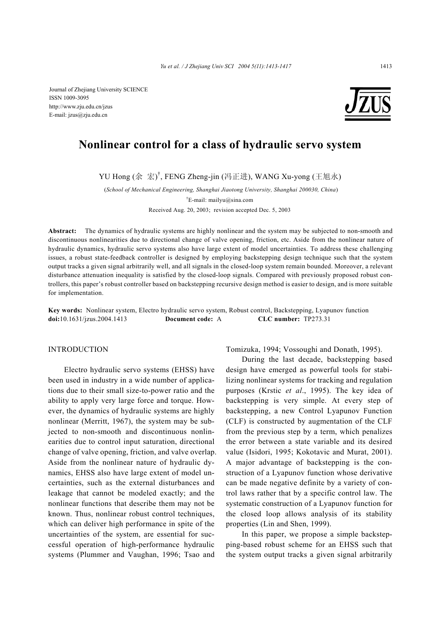Journal of Zhejiang University SCIENCE ISSN 1009-3095 http://www.zju.edu.cn/jzus E-mail: jzus@zju.edu.cn



# **Nonlinear control for a class of hydraulic servo system**

YU Hong (余 宏) † , FENG Zheng-jin (冯正进), WANG Xu-yong (王旭永)

(*School of Mechanical Engineering, Shanghai Jiaotong University, Shanghai 200030, China*) † E-mail: mailyu@sina.com

Received Aug. 20, 2003; revision accepted Dec. 5, 2003

**Abstract:** The dynamics of hydraulic systems are highly nonlinear and the system may be subjected to non-smooth and discontinuous nonlinearities due to directional change of valve opening, friction, etc. Aside from the nonlinear nature of hydraulic dynamics, hydraulic servo systems also have large extent of model uncertainties. To address these challenging issues, a robust state-feedback controller is designed by employing backstepping design technique such that the system output tracks a given signal arbitrarily well, and all signals in the closed-loop system remain bounded. Moreover, a relevant disturbance attenuation inequality is satisfied by the closed-loop signals. Compared with previously proposed robust controllers, this paper's robust controller based on backstepping recursive design method is easier to design, and is more suitable for implementation.

**Key words:** Nonlinear system, Electro hydraulic servo system, Robust control, Backstepping, Lyapunov function **doi:**10.1631/jzus.2004.1413 **Document code:** A **CLC number:** TP273.31

#### INTRODUCTION

Electro hydraulic servo systems (EHSS) have been used in industry in a wide number of applications due to their small size-to-power ratio and the ability to apply very large force and torque. However, the dynamics of hydraulic systems are highly nonlinear (Merritt, 1967), the system may be subjected to non-smooth and discontinuous nonlinearities due to control input saturation, directional change of valve opening, friction, and valve overlap. Aside from the nonlinear nature of hydraulic dynamics, EHSS also have large extent of model uncertainties, such as the external disturbances and leakage that cannot be modeled exactly; and the nonlinear functions that describe them may not be known. Thus, nonlinear robust control techniques, which can deliver high performance in spite of the uncertainties of the system, are essential for successful operation of high-performance hydraulic systems (Plummer and Vaughan, 1996; Tsao and

Tomizuka, 1994; Vossoughi and Donath, 1995).

During the last decade, backstepping based design have emerged as powerful tools for stabilizing nonlinear systems for tracking and regulation purposes (Krstic *et al*., 1995). The key idea of backstepping is very simple. At every step of backstepping, a new Control Lyapunov Function (CLF) is constructed by augmentation of the CLF from the previous step by a term, which penalizes the error between a state variable and its desired value (Isidori, 1995; Kokotavic and Murat, 2001). A major advantage of backstepping is the construction of a Lyapunov function whose derivative can be made negative definite by a variety of control laws rather that by a specific control law. The systematic construction of a Lyapunov function for the closed loop allows analysis of its stability properties (Lin and Shen, 1999).

In this paper, we propose a simple backstepping-based robust scheme for an EHSS such that the system output tracks a given signal arbitrarily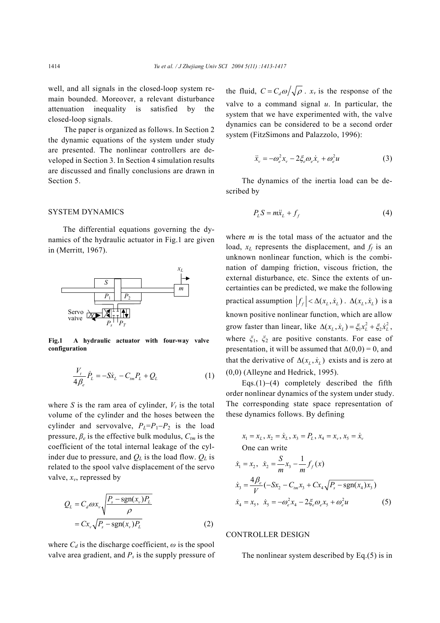well, and all signals in the closed-loop system remain bounded. Moreover, a relevant disturbance attenuation inequality is satisfied by the closed-loop signals.

The paper is organized as follows. In Section 2 the dynamic equations of the system under study are presented. The nonlinear controllers are developed in Section 3. In Section 4 simulation results are discussed and finally conclusions are drawn in Section 5.

#### SYSTEM DYNAMICS

The differential equations governing the dynamics of the hydraulic actuator in Fig.1 are given in (Merritt, 1967).



**Fig.1 A hydraulic actuator with four-way valve configuration**

$$
\frac{V_t}{4\beta_e} \dot{P}_L = -S\dot{x}_L - C_{tm}P_L + Q_L
$$
 (1)

where *S* is the ram area of cylinder,  $V_t$  is the total volume of the cylinder and the hoses between the cylinder and servovalve,  $P_L = P_1 - P_2$  is the load pressure,  $\beta_e$  is the effective bulk modulus,  $C_{tm}$  is the coefficient of the total internal leakage of the cylinder due to pressure, and  $Q_L$  is the load flow.  $Q_L$  is related to the spool valve displacement of the servo valve,  $x_v$ , repressed by

$$
Q_L = C_d \omega x_v \sqrt{\frac{P_s - \text{sgn}(x_v)P_L}{\rho}}
$$
  
=  $Cx_v \sqrt{P_s - \text{sgn}(x_v)P_L}$  (2)

where  $C_d$  is the discharge coefficient,  $\omega$  is the spool valve area gradient, and  $P_s$  is the supply pressure of the fluid,  $C = C_d \omega / \sqrt{\rho}$ .  $x_v$  is the response of the valve to a command signal *u*. In particular, the system that we have experimented with, the valve dynamics can be considered to be a second order system (FitzSimons and Palazzolo, 1996):

$$
\ddot{x}_{v} = -\omega_e^2 x_v - 2\xi_e \omega_e \dot{x}_v + \omega_e^2 u \tag{3}
$$

The dynamics of the inertia load can be described by

$$
P_L S = m\ddot{x}_L + f_f \tag{4}
$$

where *m* is the total mass of the actuator and the load,  $x_L$  represents the displacement, and  $f_f$  is an unknown nonlinear function, which is the combination of damping friction, viscous friction, the external disturbance, etc. Since the extents of uncertainties can be predicted, we make the following practical assumption  $|f_f| < \Delta(x_L, \dot{x}_L)$ .  $\Delta(x_L, \dot{x}_L)$  is a known positive nonlinear function, which are allow grow faster than linear, like  $\Delta(x_L, \dot{x}_L) = \xi_1 x_L^2 + \xi_2 \dot{x}_L^2$ , where *ξ*1, *ξ*2 are positive constants. For ease of presentation, it will be assumed that  $\Delta(0,0) = 0$ , and that the derivative of  $\Delta(x_i, \dot{x}_i)$  exists and is zero at (0,0) (Alleyne and Hedrick, 1995).

Eqs.(1)−(4) completely described the fifth order nonlinear dynamics of the system under study. The corresponding state space representation of these dynamics follows. By defining

$$
x_1 = x_L, x_2 = \dot{x}_L, x_3 = P_L, x_4 = x_v, x_5 = \dot{x}_v
$$
  
One can write  

$$
\dot{x}_1 = x_2, \ \dot{x}_2 = \frac{S}{m}x_3 - \frac{1}{m}f_f(x)
$$

$$
\dot{x}_3 = \frac{4\beta_e}{V}(-Sx_2 - C_{mx_3} + Cx_4\sqrt{P_s - \text{sgn}(x_4)x_3})
$$

$$
\dot{x}_4 = x_5, \ \dot{x}_5 = -\omega_e^2 x_4 - 2\xi_e \omega_e x_5 + \omega_e^2 u
$$
(5)

## CONTROLLER DESIGN

The nonlinear system described by Eq.(5) is in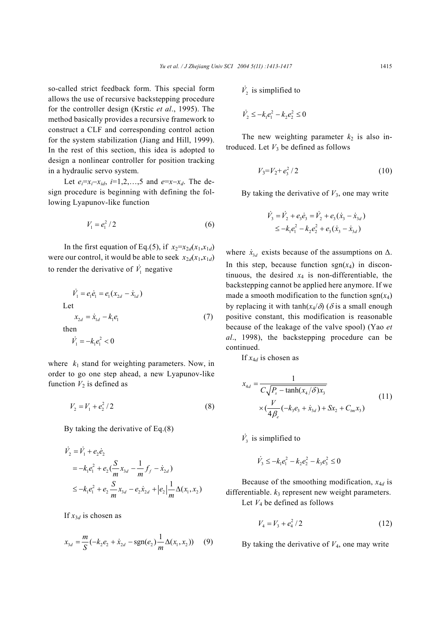so-called strict feedback form. This special form allows the use of recursive backstepping procedure for the controller design (Krstic *et al*., 1995). The method basically provides a recursive framework to construct a CLF and corresponding control action for the system stabilization (Jiang and Hill, 1999). In the rest of this section, this idea is adopted to design a nonlinear controller for position tracking in a hydraulic servo system.

Let  $e_i = x_i - x_{id}, i = 1, 2, \ldots, 5$  and  $e = x - x_d$ . The design procedure is beginning with defining the following Lyapunov-like function

$$
V_1 = e_1^2 / 2 \tag{6}
$$

In the first equation of Eq.(5), if  $x_2=x_{2d}(x_1,x_{1d})$ were our control, it would be able to seek  $x_{2d}(x_1, x_{1d})$ to render the derivative of  $\dot{V}_1$  negative

$$
\dot{V}_1 = e_1 \dot{e}_1 = e_1 (x_{2d} - \dot{x}_{1d})
$$
\nLet\n
$$
x_{2d} = \dot{x}_{1d} - k_1 e_1
$$
\nthen\n
$$
\dot{V}_1 = -k_1 e_1^2 < 0
$$
\n(7)

where  $k_1$  stand for weighting parameters. Now, in order to go one step ahead, a new Lyapunov-like function  $V_2$  is defined as

$$
V_2 = V_1 + e_2^2 / 2 \tag{8}
$$

By taking the derivative of Eq.(8)

$$
\dot{V}_2 = \dot{V}_1 + e_2 \dot{e}_2
$$
\n
$$
= -k_1 e_1^2 + e_2 \left( \frac{S}{m} x_{3d} - \frac{1}{m} f_f - \dot{x}_{2d} \right)
$$
\n
$$
\leq -k_1 e_1^2 + e_2 \frac{S}{m} x_{3d} - e_2 \dot{x}_{2d} + \left| e_2 \right| \frac{1}{m} \Delta(x_1, x_2)
$$

If  $x_{3d}$  is chosen as

$$
x_{3d} = \frac{m}{S}(-k_2e_2 + \dot{x}_{2d} - \text{sgn}(e_2)\frac{1}{m}\Delta(x_1, x_2))
$$
 (9)

 $\dot{V}_2$  is simplified to

$$
\dot{V}_2 \le -k_1 e_1^2 - k_2 e_2^2 \le 0
$$

The new weighting parameter  $k_2$  is also introduced. Let  $V_3$  be defined as follows

$$
V_3 = V_2 + e_3^2 / 2 \tag{10}
$$

By taking the derivative of *V*3, one may write

$$
\dot{V}_3 = \dot{V}_2 + e_3 \dot{e}_3 = \dot{V}_2 + e_3 (\dot{x}_3 - \dot{x}_{3d})
$$
  
 
$$
\leq -k_1 e_1^2 - k_2 e_2^2 + e_3 (\dot{x}_3 - \dot{x}_{3d})
$$

where  $\dot{x}_{3d}$  exists because of the assumptions on  $\Delta$ . In this step, because function  $sgn(x_4)$  in discontinuous, the desired  $x_4$  is non-differentiable, the backstepping cannot be applied here anymore. If we made a smooth modification to the function  $sgn(x_4)$ by replacing it with  $\tanh(x_4/\delta)$  ( $\delta$  is a small enough positive constant, this modification is reasonable because of the leakage of the valve spool) (Yao *et al*., 1998), the backstepping procedure can be continued.

If  $x_{4d}$  is chosen as

$$
x_{4d} = \frac{1}{C\sqrt{P_s - \tanh(x_4/\delta)x_3}}
$$
  
 
$$
\times (\frac{V}{4\beta_e}(-k_3e_3 + \dot{x}_{3d}) + Sx_2 + C_{im}x_3)
$$
 (11)

 $\dot{V}_3$  is simplified to

$$
\dot{V}_3 \le -k_1 e_1^2 - k_2 e_2^2 - k_3 e_3^2 \le 0
$$

Because of the smoothing modification, *x*4*d* is differentiable. *k*3 represent new weight parameters. Let  $V_4$  be defined as follows

$$
V_4 = V_3 + e_4^2 / 2 \tag{12}
$$

By taking the derivative of *V*4, one may write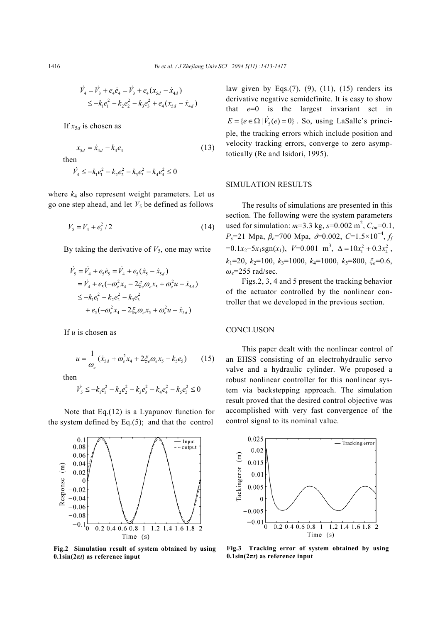$$
\dot{V}_4 = \dot{V}_3 + e_4 \dot{e}_4 = \dot{V}_3 + e_4 (x_{5d} - \dot{x}_{4d})
$$
  
\n
$$
\leq -k_1 e_1^2 - k_2 e_2^2 - k_3 e_3^2 + e_4 (x_{5d} - \dot{x}_{4d})
$$

If  $x_{5d}$  is chosen as

$$
x_{5d} = \dot{x}_{4d} - k_4 e_4 \tag{13}
$$

then

$$
\dot{V}_4 \le -k_1 e_1^2 - k_2 e_2^2 - k_3 e_3^2 - k_4 e_4^2 \le 0
$$

where  $k_4$  also represent weight parameters. Let us go one step ahead, and let  $V_5$  be defined as follows

$$
V_5 = V_4 + e_5^2 / 2 \tag{14}
$$

By taking the derivative of  $V_5$ , one may write

$$
\dot{V}_5 = \dot{V}_4 + e_5 \dot{e}_5 = \dot{V}_4 + e_5 (\dot{x}_5 - \dot{x}_{5d})
$$
\n
$$
= \dot{V}_4 + e_5 (-\omega_e^2 x_4 - 2\xi_e \omega_e x_5 + \omega_e^2 u - \dot{x}_{5d})
$$
\n
$$
\leq -k_1 e_1^2 - k_2 e_2^2 - k_3 e_3^2
$$
\n
$$
+ e_5 (-\omega_e^2 x_4 - 2\xi_e \omega_e x_5 + \omega_e^2 u - \dot{x}_{5d})
$$

If *u* is chosen as

$$
u = \frac{1}{\omega_e} (\dot{x}_{sd} + \omega_e^2 x_4 + 2 \xi_e \omega_e x_5 - k_5 e_5)
$$
 (15)

then

$$
\dot{V}_5 \le -k_1 e_1^2 - k_2 e_2^2 - k_3 e_3^2 - k_4 e_4^2 - k_5 e_5^2 \le 0
$$

Note that Eq.(12) is a Lyapunov function for the system defined by Eq.(5); and that the control



**Fig.2 Simulation result of system obtained by using**  $0.1\sin(2\pi t)$  as reference input

law given by Eqs. $(7)$ ,  $(9)$ ,  $(11)$ ,  $(15)$  renders its derivative negative semidefinite. It is easy to show that  $e=0$  is the largest invariant set in  $E = \{e \in \Omega \mid V_s(e) = 0\}$ . So, using LaSalle's principle, the tracking errors which include position and velocity tracking errors, converge to zero asymptotically (Re and Isidori, 1995).

## SIMULATION RESULTS

The results of simulations are presented in this section. The following were the system parameters used for simulation:  $m=3.3$  kg,  $s=0.002$  m<sup>2</sup>,  $C_{tm}=0.1$ , *Ps*=21 Mpa, *βe*=700 Mpa, <sup>δ</sup>=0.002, *C*=1.5×10<sup>−</sup><sup>4</sup> , *ff*  $=0.1x_2-5x_1sgn(x_1), V=0.001 \text{ m}^3, \Delta=10x_1^2+0.3x_2^2,$  $k_1$ =20,  $k_2$ =100,  $k_3$ =1000,  $k_4$ =1000,  $k_5$ =800,  $\xi_e$ =0.6, *ωe*=255 rad/sec.

Figs.2, 3, 4 and 5 present the tracking behavior of the actuator controlled by the nonlinear controller that we developed in the previous section.

## **CONCLUSON**

This paper dealt with the nonlinear control of an EHSS consisting of an electrohydraulic servo valve and a hydraulic cylinder. We proposed a robust nonlinear controller for this nonlinear system via backstepping approach. The simulation result proved that the desired control objective was accomplished with very fast convergence of the control signal to its nominal value.



**Fig.3 Tracking error of system obtained by using**  $0.1\sin(2\pi t)$  as reference input